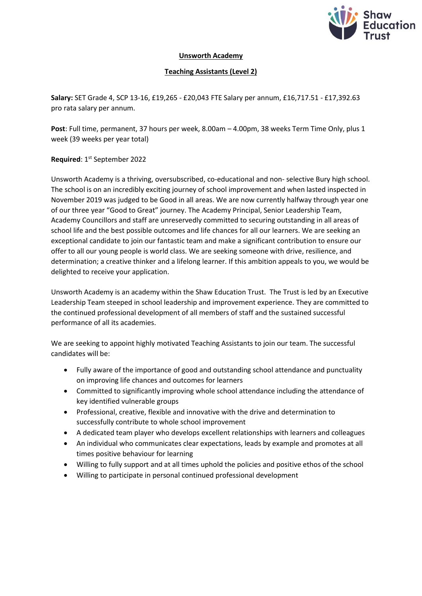

## **Unsworth Academy**

## **Teaching Assistants (Level 2)**

**Salary:** SET Grade 4, SCP 13-16, £19,265 - £20,043 FTE Salary per annum, £16,717.51 - £17,392.63 pro rata salary per annum.

**Post**: Full time, permanent, 37 hours per week, 8.00am – 4.00pm, 38 weeks Term Time Only, plus 1 week (39 weeks per year total)

Required: 1<sup>st</sup> September 2022

Unsworth Academy is a thriving, oversubscribed, co-educational and non- selective Bury high school. The school is on an incredibly exciting journey of school improvement and when lasted inspected in November 2019 was judged to be Good in all areas. We are now currently halfway through year one of our three year "Good to Great" journey. The Academy Principal, Senior Leadership Team, Academy Councillors and staff are unreservedly committed to securing outstanding in all areas of school life and the best possible outcomes and life chances for all our learners. We are seeking an exceptional candidate to join our fantastic team and make a significant contribution to ensure our offer to all our young people is world class. We are seeking someone with drive, resilience, and determination; a creative thinker and a lifelong learner. If this ambition appeals to you, we would be delighted to receive your application.

Unsworth Academy is an academy within the Shaw Education Trust. The Trust is led by an Executive Leadership Team steeped in school leadership and improvement experience. They are committed to the continued professional development of all members of staff and the sustained successful performance of all its academies.

We are seeking to appoint highly motivated Teaching Assistants to join our team. The successful candidates will be:

- Fully aware of the importance of good and outstanding school attendance and punctuality on improving life chances and outcomes for learners
- Committed to significantly improving whole school attendance including the attendance of key identified vulnerable groups
- Professional, creative, flexible and innovative with the drive and determination to successfully contribute to whole school improvement
- A dedicated team player who develops excellent relationships with learners and colleagues
- An individual who communicates clear expectations, leads by example and promotes at all times positive behaviour for learning
- Willing to fully support and at all times uphold the policies and positive ethos of the school
- Willing to participate in personal continued professional development